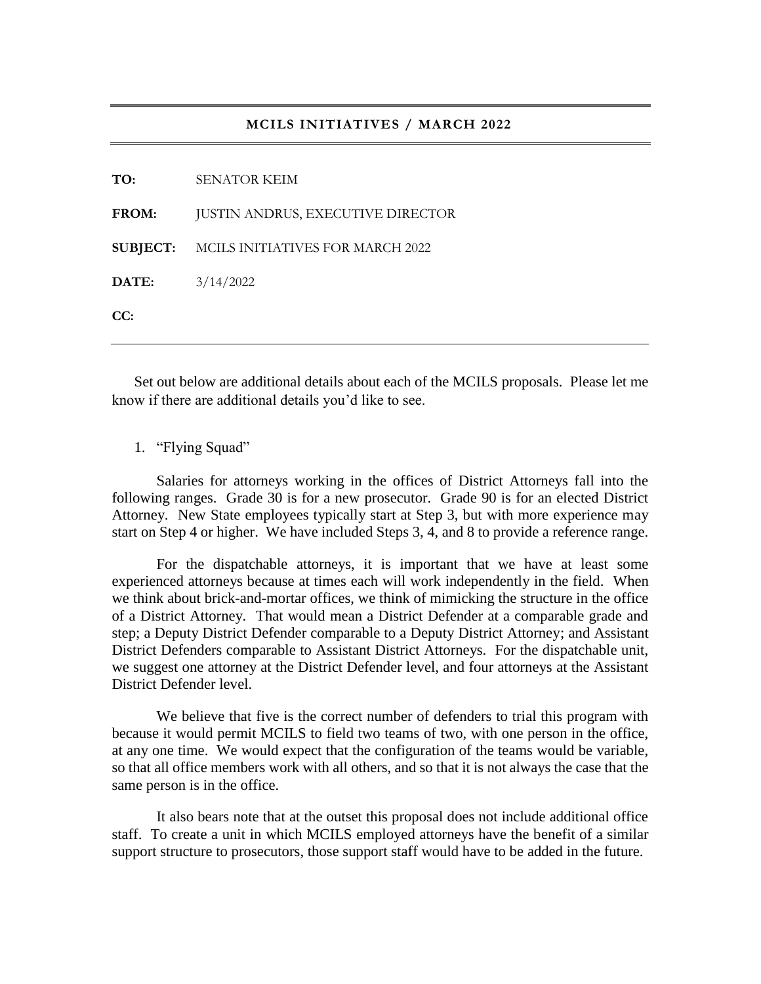### **MCILS INITIATIVES / MARCH 2022**

Set out below are additional details about each of the MCILS proposals. Please let me know if there are additional details you'd like to see.

## 1. "Flying Squad"

Salaries for attorneys working in the offices of District Attorneys fall into the following ranges. Grade 30 is for a new prosecutor. Grade 90 is for an elected District Attorney. New State employees typically start at Step 3, but with more experience may start on Step 4 or higher. We have included Steps 3, 4, and 8 to provide a reference range.

For the dispatchable attorneys, it is important that we have at least some experienced attorneys because at times each will work independently in the field. When we think about brick-and-mortar offices, we think of mimicking the structure in the office of a District Attorney. That would mean a District Defender at a comparable grade and step; a Deputy District Defender comparable to a Deputy District Attorney; and Assistant District Defenders comparable to Assistant District Attorneys. For the dispatchable unit, we suggest one attorney at the District Defender level, and four attorneys at the Assistant District Defender level.

We believe that five is the correct number of defenders to trial this program with because it would permit MCILS to field two teams of two, with one person in the office, at any one time. We would expect that the configuration of the teams would be variable, so that all office members work with all others, and so that it is not always the case that the same person is in the office.

It also bears note that at the outset this proposal does not include additional office staff. To create a unit in which MCILS employed attorneys have the benefit of a similar support structure to prosecutors, those support staff would have to be added in the future.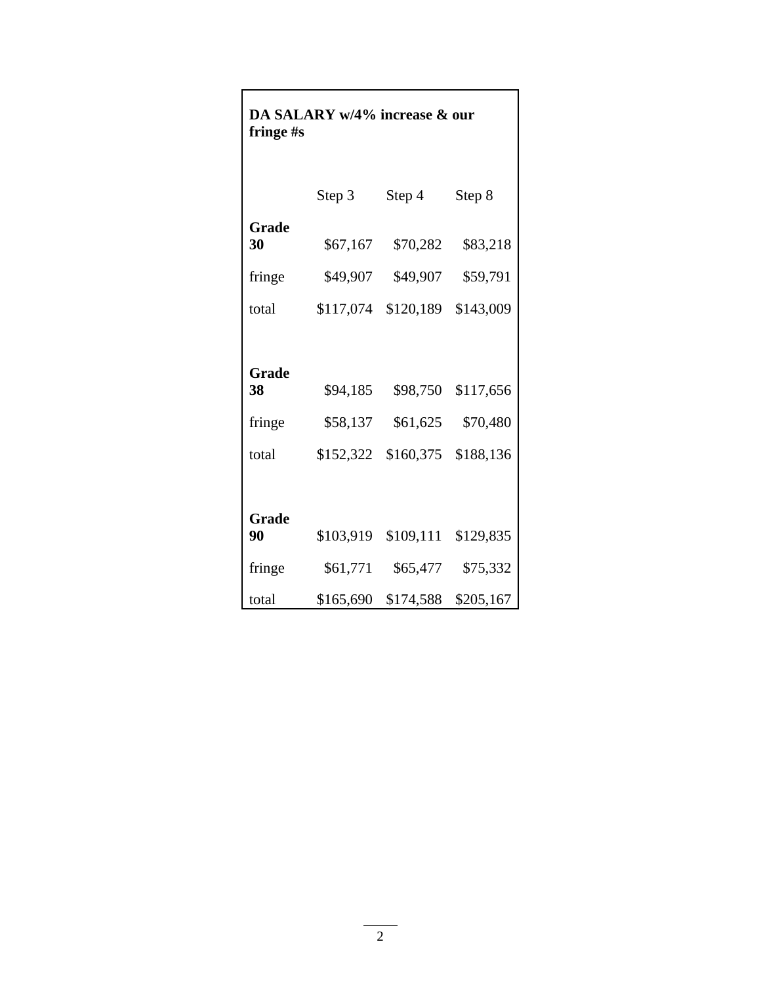| fringe #s                             | DA SALARY w/4% increase & our     |                                   |                                    |
|---------------------------------------|-----------------------------------|-----------------------------------|------------------------------------|
|                                       | Step 3                            | Step 4                            | Step 8                             |
| Grade<br>30                           | \$67,167                          | \$70,282                          | \$83,218                           |
| fringe                                | \$49,907                          | \$49,907                          | \$59,791                           |
| total                                 | \$117,074                         | \$120,189                         | \$143,009                          |
| <b>Grade</b><br>38<br>fringe<br>total | \$94,185<br>\$58,137<br>\$152,322 | \$98,750<br>\$61,625<br>\$160,375 | \$117,656<br>\$70,480<br>\$188,136 |
| Grade<br>90                           | \$103,919                         | \$109,111                         | \$129,835                          |
| fringe                                | \$61,771                          | \$65,477                          | \$75,332                           |
| total                                 | \$165,690                         | \$174,588                         | \$205,167                          |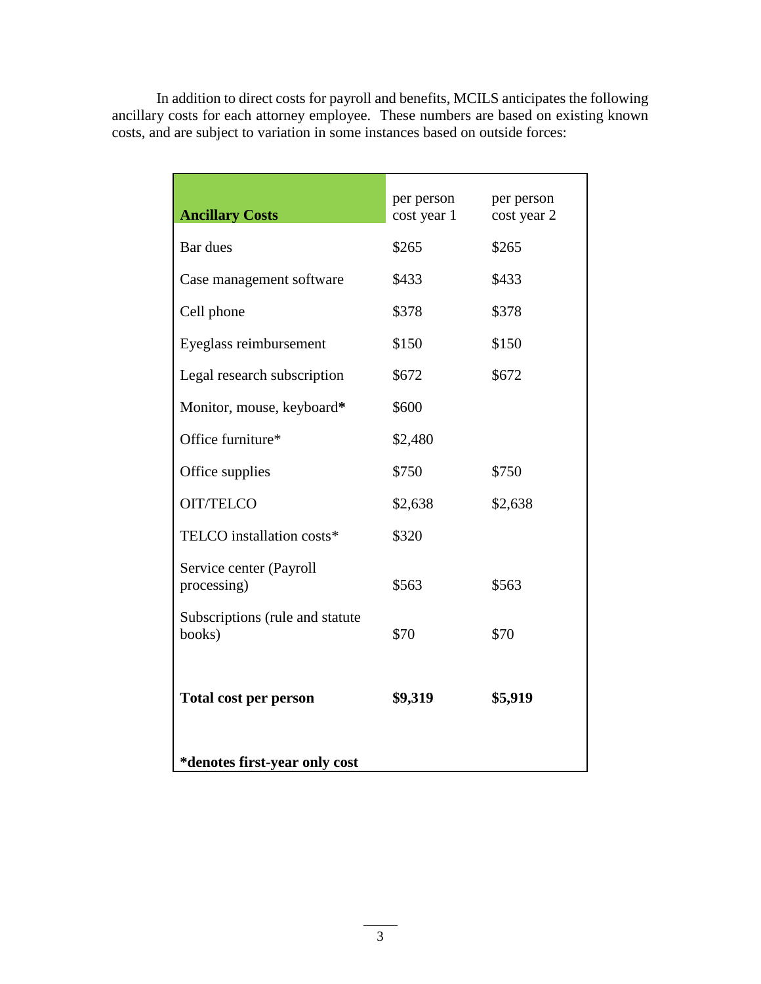In addition to direct costs for payroll and benefits, MCILS anticipates the following ancillary costs for each attorney employee. These numbers are based on existing known costs, and are subject to variation in some instances based on outside forces:

| <b>Ancillary Costs</b>                    | per person<br>cost year 1 | per person<br>cost year 2 |  |  |
|-------------------------------------------|---------------------------|---------------------------|--|--|
| Bar dues                                  | \$265                     | \$265                     |  |  |
| Case management software                  | \$433                     | \$433                     |  |  |
| Cell phone                                | \$378                     | \$378                     |  |  |
| Eyeglass reimbursement                    | \$150                     | \$150                     |  |  |
| Legal research subscription               | \$672                     | \$672                     |  |  |
| Monitor, mouse, keyboard*                 | \$600                     |                           |  |  |
| Office furniture*                         | \$2,480                   |                           |  |  |
| Office supplies                           | \$750                     | \$750                     |  |  |
| <b>OIT/TELCO</b>                          | \$2,638                   | \$2,638                   |  |  |
| TELCO installation costs*                 | \$320                     |                           |  |  |
| Service center (Payroll<br>processing)    | \$563                     | \$563                     |  |  |
| Subscriptions (rule and statute<br>books) | \$70                      | \$70                      |  |  |
| Total cost per person                     | \$9,319                   | \$5,919                   |  |  |
| *denotes first-year only cost             |                           |                           |  |  |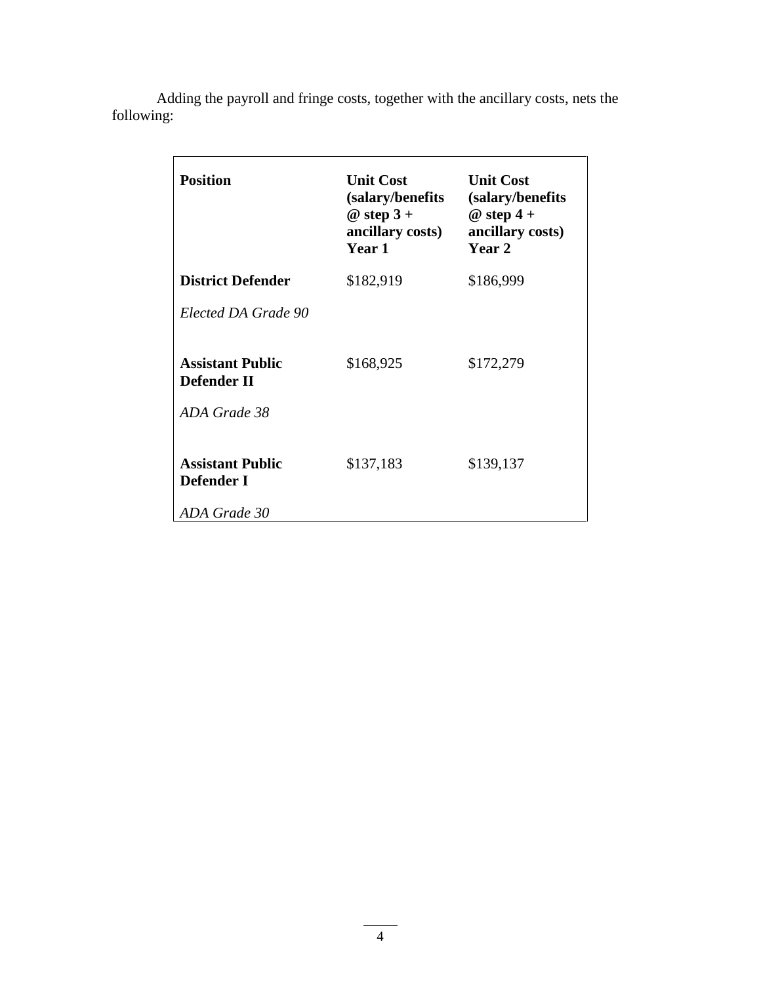| <b>Position</b>                               | <b>Unit Cost</b><br>(salary/benefits)<br>@ step $3+$<br>ancillary costs)<br>Year 1 | <b>Unit Cost</b><br>(salary/benefits)<br>$@$ step 4 +<br>ancillary costs)<br>Year 2 |
|-----------------------------------------------|------------------------------------------------------------------------------------|-------------------------------------------------------------------------------------|
| <b>District Defender</b>                      | \$182,919                                                                          | \$186,999                                                                           |
| Elected DA Grade 90                           |                                                                                    |                                                                                     |
| <b>Assistant Public</b><br><b>Defender II</b> | \$168,925                                                                          | \$172,279                                                                           |
| ADA Grade 38                                  |                                                                                    |                                                                                     |
| <b>Assistant Public</b><br>Defender I         | \$137,183                                                                          | \$139,137                                                                           |
| ADA Grade 30                                  |                                                                                    |                                                                                     |

Adding the payroll and fringe costs, together with the ancillary costs, nets the following: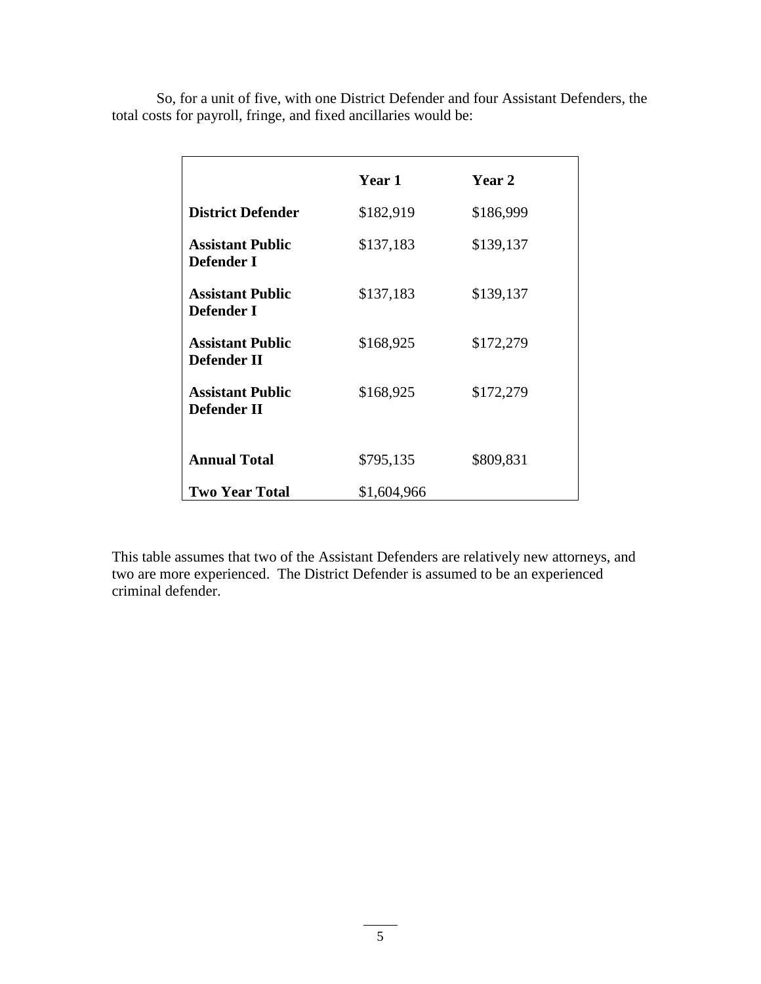|                                               | Year 1      | Year 2    |
|-----------------------------------------------|-------------|-----------|
| <b>District Defender</b>                      | \$182,919   | \$186,999 |
| <b>Assistant Public</b><br>Defender I         | \$137,183   | \$139,137 |
| <b>Assistant Public</b><br>Defender I         | \$137,183   | \$139,137 |
| <b>Assistant Public</b><br><b>Defender II</b> | \$168,925   | \$172,279 |
| <b>Assistant Public</b><br>Defender II        | \$168,925   | \$172,279 |
| <b>Annual Total</b>                           | \$795,135   | \$809,831 |
| <b>Two Year Total</b>                         | \$1,604,966 |           |

So, for a unit of five, with one District Defender and four Assistant Defenders, the total costs for payroll, fringe, and fixed ancillaries would be:

This table assumes that two of the Assistant Defenders are relatively new attorneys, and two are more experienced. The District Defender is assumed to be an experienced criminal defender.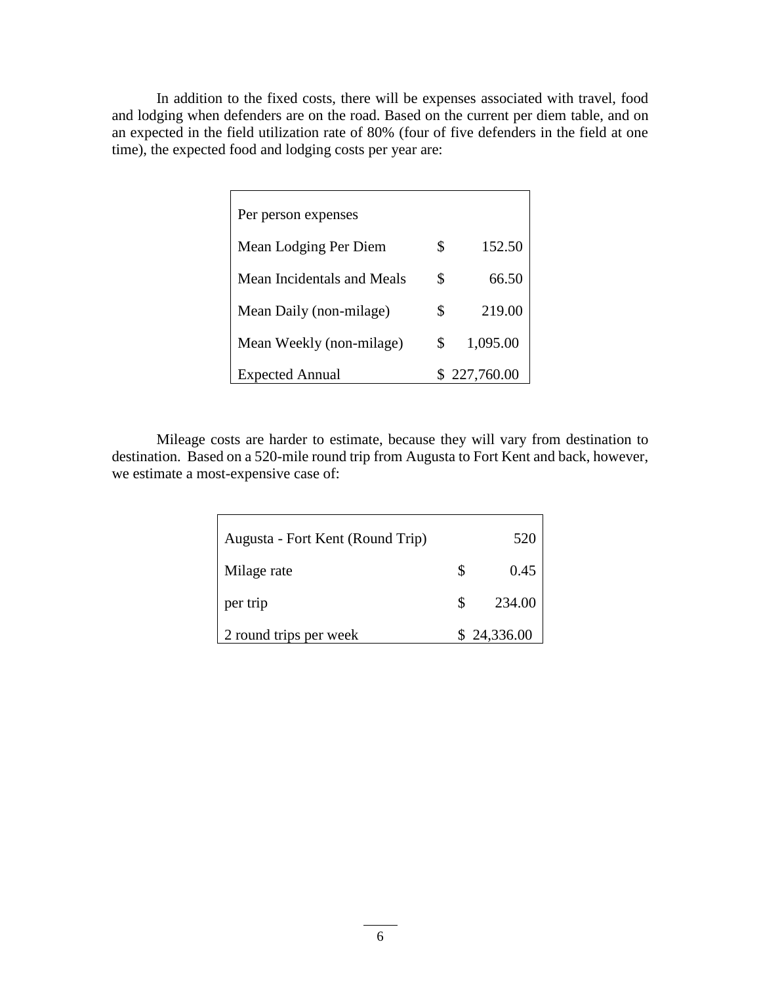In addition to the fixed costs, there will be expenses associated with travel, food and lodging when defenders are on the road. Based on the current per diem table, and on an expected in the field utilization rate of 80% (four of five defenders in the field at one time), the expected food and lodging costs per year are:

| Per person expenses        |    |            |
|----------------------------|----|------------|
| Mean Lodging Per Diem      | S  | 152.50     |
| Mean Incidentals and Meals | \$ | 66.50      |
| Mean Daily (non-milage)    | \$ | 219.00     |
| Mean Weekly (non-milage)   | \$ | 1,095.00   |
| <b>Expected Annual</b>     |    | 227,760.00 |

Mileage costs are harder to estimate, because they will vary from destination to destination. Based on a 520-mile round trip from Augusta to Fort Kent and back, however, we estimate a most-expensive case of:

| Augusta - Fort Kent (Round Trip) |     | 520         |
|----------------------------------|-----|-------------|
| Milage rate                      | \$  | 0.45        |
| per trip                         | \$. | 234.00      |
| 2 round trips per week           |     | \$24,336.00 |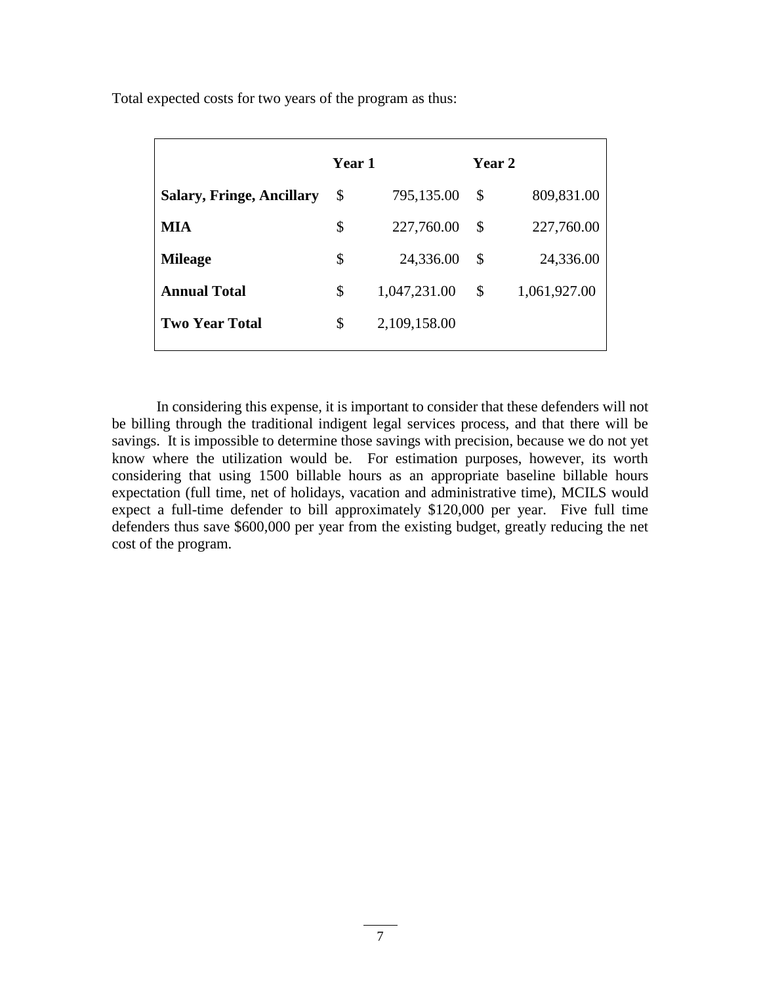|                                  | Year 1                    |              | Year 2                    |              |
|----------------------------------|---------------------------|--------------|---------------------------|--------------|
| <b>Salary, Fringe, Ancillary</b> | $\boldsymbol{\mathsf{S}}$ | 795,135.00   | \$                        | 809,831.00   |
| MIA                              | \$                        | 227,760.00   | $\boldsymbol{\mathsf{S}}$ | 227,760.00   |
| <b>Mileage</b>                   | \$                        | 24,336.00    | \$                        | 24,336.00    |
| <b>Annual Total</b>              | \$                        | 1,047,231.00 | \$                        | 1,061,927.00 |
| <b>Two Year Total</b>            | \$                        | 2,109,158.00 |                           |              |

Total expected costs for two years of the program as thus:

In considering this expense, it is important to consider that these defenders will not be billing through the traditional indigent legal services process, and that there will be savings. It is impossible to determine those savings with precision, because we do not yet know where the utilization would be. For estimation purposes, however, its worth considering that using 1500 billable hours as an appropriate baseline billable hours expectation (full time, net of holidays, vacation and administrative time), MCILS would expect a full-time defender to bill approximately \$120,000 per year. Five full time defenders thus save \$600,000 per year from the existing budget, greatly reducing the net cost of the program.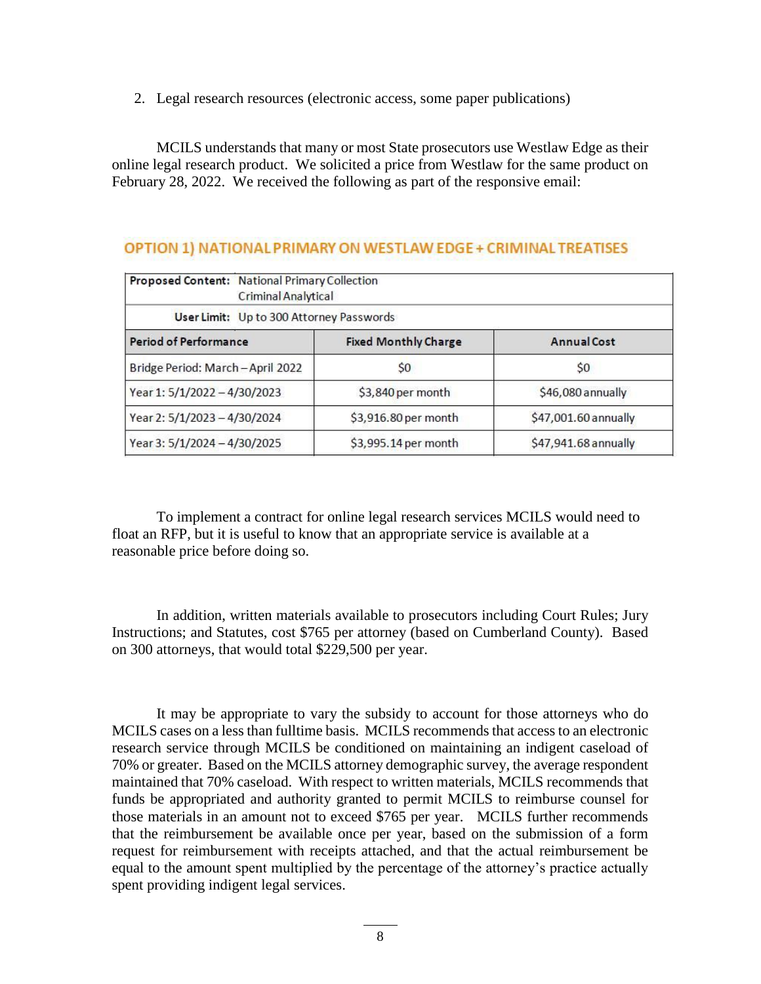2. Legal research resources (electronic access, some paper publications)

MCILS understands that many or most State prosecutors use Westlaw Edge as their online legal research product. We solicited a price from Westlaw for the same product on February 28, 2022. We received the following as part of the responsive email:

# OPTION 1) NATIONAL PRIMARY ON WESTLAW EDGE + CRIMINAL TREATISES

| Proposed Content: National Primary Collection<br>Criminal Analytical |                             |                      |  |  |
|----------------------------------------------------------------------|-----------------------------|----------------------|--|--|
| User Limit: Up to 300 Attorney Passwords                             |                             |                      |  |  |
| <b>Period of Performance</b>                                         | <b>Fixed Monthly Charge</b> | <b>Annual Cost</b>   |  |  |
| Bridge Period: March-April 2022                                      | S <sub>0</sub>              | S <sub>0</sub>       |  |  |
| Year 1: 5/1/2022 - 4/30/2023                                         | \$3,840 per month           | \$46,080 annually    |  |  |
| Year 2: 5/1/2023 - 4/30/2024                                         | \$3,916.80 per month        | \$47,001.60 annually |  |  |
| Year 3: 5/1/2024 - 4/30/2025                                         | \$3,995.14 per month        | \$47,941.68 annually |  |  |

To implement a contract for online legal research services MCILS would need to float an RFP, but it is useful to know that an appropriate service is available at a reasonable price before doing so.

In addition, written materials available to prosecutors including Court Rules; Jury Instructions; and Statutes, cost \$765 per attorney (based on Cumberland County). Based on 300 attorneys, that would total \$229,500 per year.

It may be appropriate to vary the subsidy to account for those attorneys who do MCILS cases on a less than fulltime basis. MCILS recommends that access to an electronic research service through MCILS be conditioned on maintaining an indigent caseload of 70% or greater. Based on the MCILS attorney demographic survey, the average respondent maintained that 70% caseload. With respect to written materials, MCILS recommends that funds be appropriated and authority granted to permit MCILS to reimburse counsel for those materials in an amount not to exceed \$765 per year. MCILS further recommends that the reimbursement be available once per year, based on the submission of a form request for reimbursement with receipts attached, and that the actual reimbursement be equal to the amount spent multiplied by the percentage of the attorney's practice actually spent providing indigent legal services.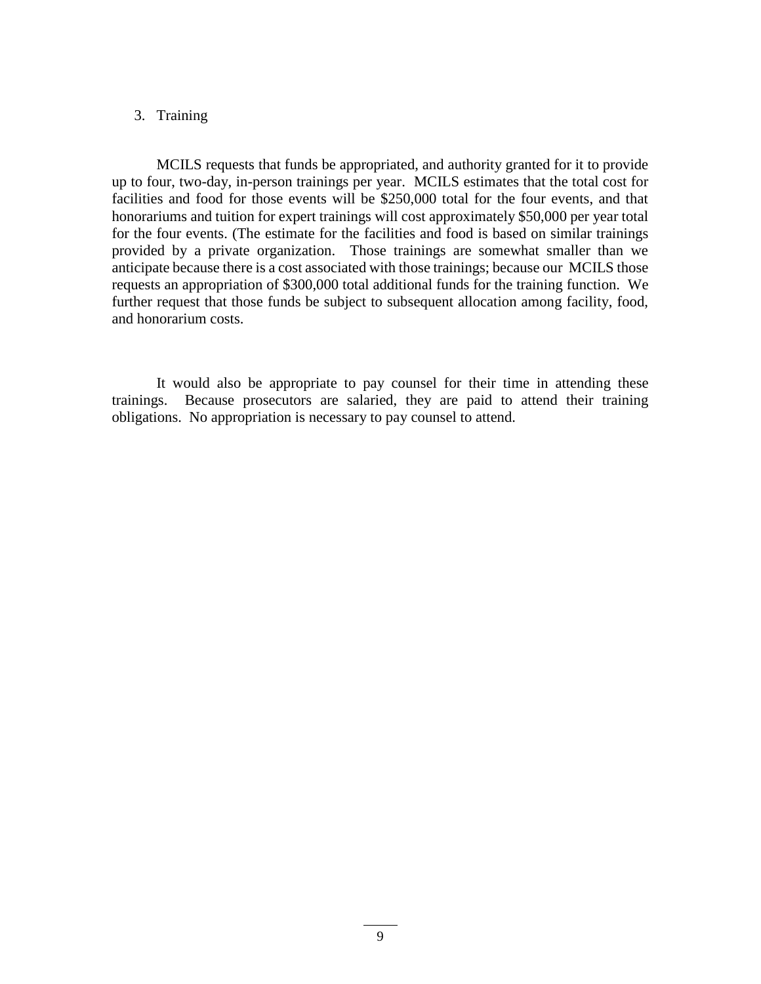## 3. Training

MCILS requests that funds be appropriated, and authority granted for it to provide up to four, two-day, in-person trainings per year. MCILS estimates that the total cost for facilities and food for those events will be \$250,000 total for the four events, and that honorariums and tuition for expert trainings will cost approximately \$50,000 per year total for the four events. (The estimate for the facilities and food is based on similar trainings provided by a private organization. Those trainings are somewhat smaller than we anticipate because there is a cost associated with those trainings; because our MCILS those requests an appropriation of \$300,000 total additional funds for the training function. We further request that those funds be subject to subsequent allocation among facility, food, and honorarium costs.

It would also be appropriate to pay counsel for their time in attending these trainings. Because prosecutors are salaried, they are paid to attend their training obligations. No appropriation is necessary to pay counsel to attend.